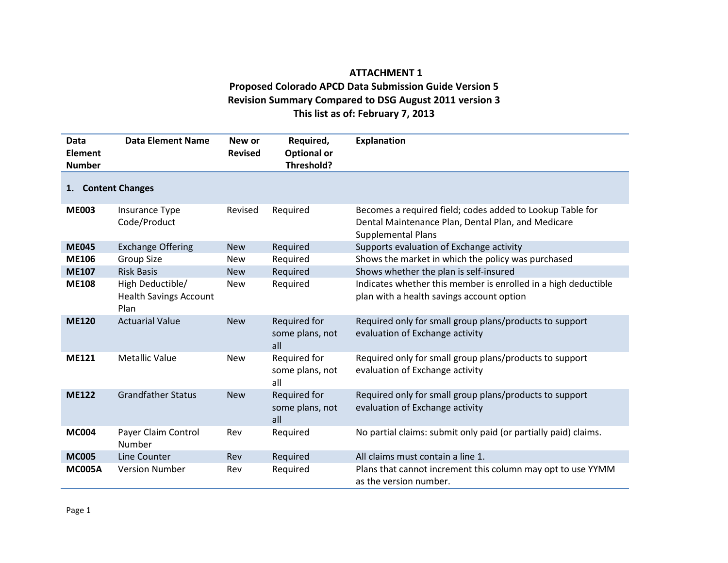## **ATTACHMENT 1 Proposed Colorado APCD Data Submission Guide Version 5 Revision Summary Compared to DSG August 2011 version 3 This list as of: February 7, 2013**

| Data<br>Element<br><b>Number</b> | <b>Data Element Name</b>                                  | New or<br><b>Revised</b> | Required,<br><b>Optional or</b><br>Threshold? | <b>Explanation</b>                                                                                                                           |  |
|----------------------------------|-----------------------------------------------------------|--------------------------|-----------------------------------------------|----------------------------------------------------------------------------------------------------------------------------------------------|--|
| 1. Content Changes               |                                                           |                          |                                               |                                                                                                                                              |  |
| <b>ME003</b>                     | Insurance Type<br>Code/Product                            | Revised                  | Required                                      | Becomes a required field; codes added to Lookup Table for<br>Dental Maintenance Plan, Dental Plan, and Medicare<br><b>Supplemental Plans</b> |  |
| <b>ME045</b>                     | <b>Exchange Offering</b>                                  | <b>New</b>               | Required                                      | Supports evaluation of Exchange activity                                                                                                     |  |
| <b>ME106</b>                     | Group Size                                                | <b>New</b>               | Required                                      | Shows the market in which the policy was purchased                                                                                           |  |
| <b>ME107</b>                     | <b>Risk Basis</b>                                         | <b>New</b>               | Required                                      | Shows whether the plan is self-insured                                                                                                       |  |
| <b>ME108</b>                     | High Deductible/<br><b>Health Savings Account</b><br>Plan | <b>New</b>               | Required                                      | Indicates whether this member is enrolled in a high deductible<br>plan with a health savings account option                                  |  |
| <b>ME120</b>                     | <b>Actuarial Value</b>                                    | <b>New</b>               | Required for<br>some plans, not<br>all        | Required only for small group plans/products to support<br>evaluation of Exchange activity                                                   |  |
| <b>ME121</b>                     | <b>Metallic Value</b>                                     | <b>New</b>               | Required for<br>some plans, not<br>all        | Required only for small group plans/products to support<br>evaluation of Exchange activity                                                   |  |
| <b>ME122</b>                     | <b>Grandfather Status</b>                                 | <b>New</b>               | Required for<br>some plans, not<br>all        | Required only for small group plans/products to support<br>evaluation of Exchange activity                                                   |  |
| <b>MC004</b>                     | Payer Claim Control<br>Number                             | Rev                      | Required                                      | No partial claims: submit only paid (or partially paid) claims.                                                                              |  |
| <b>MC005</b>                     | Line Counter                                              | Rev                      | Required                                      | All claims must contain a line 1.                                                                                                            |  |
| <b>MC005A</b>                    | <b>Version Number</b>                                     | Rev                      | Required                                      | Plans that cannot increment this column may opt to use YYMM<br>as the version number.                                                        |  |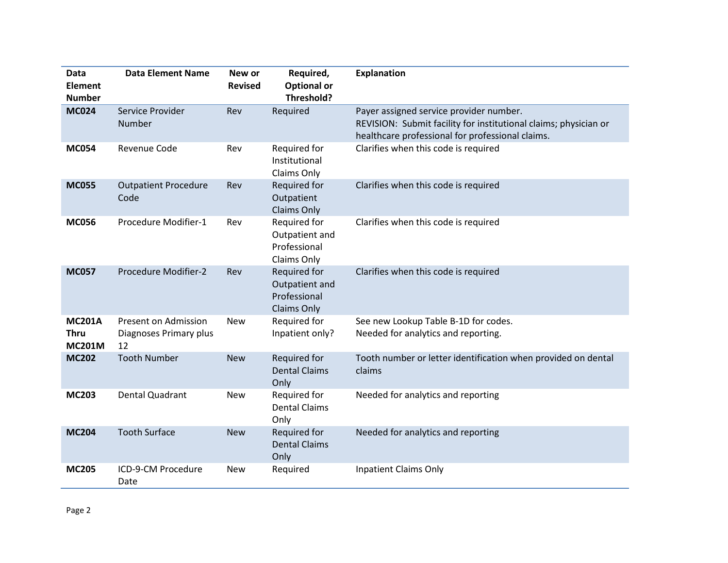| Data<br><b>Element</b><br><b>Number</b>       | <b>Data Element Name</b>                             | New or<br><b>Revised</b> | Required,<br><b>Optional or</b><br>Threshold?                        | <b>Explanation</b>                                                                                                                                              |
|-----------------------------------------------|------------------------------------------------------|--------------------------|----------------------------------------------------------------------|-----------------------------------------------------------------------------------------------------------------------------------------------------------------|
| <b>MC024</b>                                  | Service Provider<br>Number                           | Rev                      | Required                                                             | Payer assigned service provider number.<br>REVISION: Submit facility for institutional claims; physician or<br>healthcare professional for professional claims. |
| <b>MC054</b>                                  | <b>Revenue Code</b>                                  | Rev                      | Required for<br>Institutional<br>Claims Only                         | Clarifies when this code is required                                                                                                                            |
| <b>MC055</b>                                  | <b>Outpatient Procedure</b><br>Code                  | Rev                      | Required for<br>Outpatient<br><b>Claims Only</b>                     | Clarifies when this code is required                                                                                                                            |
| <b>MC056</b>                                  | Procedure Modifier-1                                 | Rev                      | Required for<br>Outpatient and<br>Professional<br>Claims Only        | Clarifies when this code is required                                                                                                                            |
| <b>MC057</b>                                  | <b>Procedure Modifier-2</b>                          | Rev                      | Required for<br>Outpatient and<br>Professional<br><b>Claims Only</b> | Clarifies when this code is required                                                                                                                            |
| <b>MC201A</b><br><b>Thru</b><br><b>MC201M</b> | Present on Admission<br>Diagnoses Primary plus<br>12 | <b>New</b>               | Required for<br>Inpatient only?                                      | See new Lookup Table B-1D for codes.<br>Needed for analytics and reporting.                                                                                     |
| <b>MC202</b>                                  | <b>Tooth Number</b>                                  | <b>New</b>               | <b>Required for</b><br><b>Dental Claims</b><br>Only                  | Tooth number or letter identification when provided on dental<br>claims                                                                                         |
| <b>MC203</b>                                  | <b>Dental Quadrant</b>                               | <b>New</b>               | Required for<br><b>Dental Claims</b><br>Only                         | Needed for analytics and reporting                                                                                                                              |
| <b>MC204</b>                                  | <b>Tooth Surface</b>                                 | <b>New</b>               | Required for<br><b>Dental Claims</b><br>Only                         | Needed for analytics and reporting                                                                                                                              |
| <b>MC205</b>                                  | ICD-9-CM Procedure<br>Date                           | <b>New</b>               | Required                                                             | <b>Inpatient Claims Only</b>                                                                                                                                    |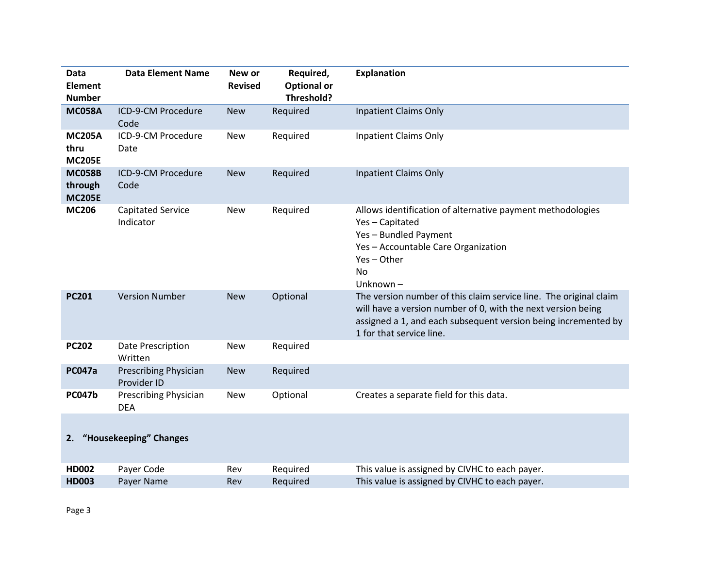| Data<br>Element<br><b>Number</b>          | <b>Data Element Name</b>                    | New or<br><b>Revised</b> | Required,<br><b>Optional or</b><br>Threshold? | <b>Explanation</b>                                                                                                                                                                                                              |
|-------------------------------------------|---------------------------------------------|--------------------------|-----------------------------------------------|---------------------------------------------------------------------------------------------------------------------------------------------------------------------------------------------------------------------------------|
| <b>MC058A</b>                             | ICD-9-CM Procedure<br>Code                  | <b>New</b>               | Required                                      | <b>Inpatient Claims Only</b>                                                                                                                                                                                                    |
| <b>MC205A</b><br>thru<br><b>MC205E</b>    | ICD-9-CM Procedure<br>Date                  | <b>New</b>               | Required                                      | <b>Inpatient Claims Only</b>                                                                                                                                                                                                    |
| <b>MC058B</b><br>through<br><b>MC205E</b> | ICD-9-CM Procedure<br>Code                  | <b>New</b>               | Required                                      | <b>Inpatient Claims Only</b>                                                                                                                                                                                                    |
| <b>MC206</b>                              | <b>Capitated Service</b><br>Indicator       | <b>New</b>               | Required                                      | Allows identification of alternative payment methodologies<br>Yes-Capitated<br>Yes-Bundled Payment<br>Yes - Accountable Care Organization<br>Yes-Other<br>No<br>Unknown-                                                        |
| <b>PC201</b>                              | <b>Version Number</b>                       | <b>New</b>               | Optional                                      | The version number of this claim service line. The original claim<br>will have a version number of 0, with the next version being<br>assigned a 1, and each subsequent version being incremented by<br>1 for that service line. |
| <b>PC202</b>                              | Date Prescription<br>Written                | <b>New</b>               | Required                                      |                                                                                                                                                                                                                                 |
| <b>PC047a</b>                             | <b>Prescribing Physician</b><br>Provider ID | <b>New</b>               | Required                                      |                                                                                                                                                                                                                                 |
| <b>PC047b</b>                             | <b>Prescribing Physician</b><br><b>DEA</b>  | <b>New</b>               | Optional                                      | Creates a separate field for this data.                                                                                                                                                                                         |
|                                           | 2. "Housekeeping" Changes                   |                          |                                               |                                                                                                                                                                                                                                 |
| <b>HD002</b><br><b>HD003</b>              | Payer Code<br>Payer Name                    | Rev<br>Rev               | Required<br>Required                          | This value is assigned by CIVHC to each payer.<br>This value is assigned by CIVHC to each payer.                                                                                                                                |
|                                           |                                             |                          |                                               |                                                                                                                                                                                                                                 |